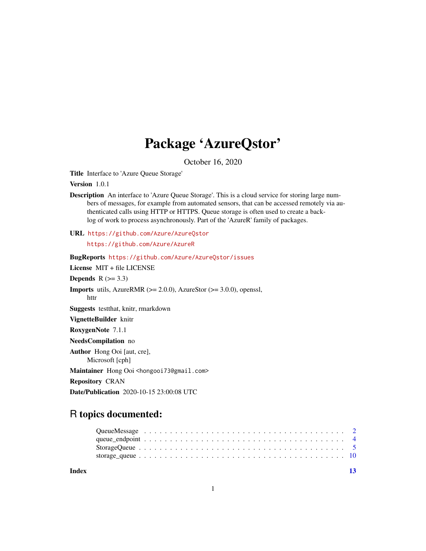## Package 'AzureQstor'

October 16, 2020

<span id="page-0-0"></span>Title Interface to 'Azure Queue Storage'

Version 1.0.1

Description An interface to 'Azure Queue Storage'. This is a cloud service for storing large numbers of messages, for example from automated sensors, that can be accessed remotely via authenticated calls using HTTP or HTTPS. Queue storage is often used to create a backlog of work to process asynchronously. Part of the 'AzureR' family of packages.

URL <https://github.com/Azure/AzureQstor>

<https://github.com/Azure/AzureR>

BugReports <https://github.com/Azure/AzureQstor/issues> License MIT + file LICENSE Depends  $R$  ( $>= 3.3$ ) **Imports** utils, AzureRMR  $(>= 2.0.0)$ , AzureStor  $(>= 3.0.0)$ , openssl, httr Suggests testthat, knitr, rmarkdown VignetteBuilder knitr RoxygenNote 7.1.1 NeedsCompilation no Author Hong Ooi [aut, cre], Microsoft [cph] Maintainer Hong Ooi <hongooi73@gmail.com> Repository CRAN Date/Publication 2020-10-15 23:00:08 UTC

### R topics documented:

| Index |  |  |  |  |  |  |  |  |  |  |  |  |  |  |  |  |  | -13 |
|-------|--|--|--|--|--|--|--|--|--|--|--|--|--|--|--|--|--|-----|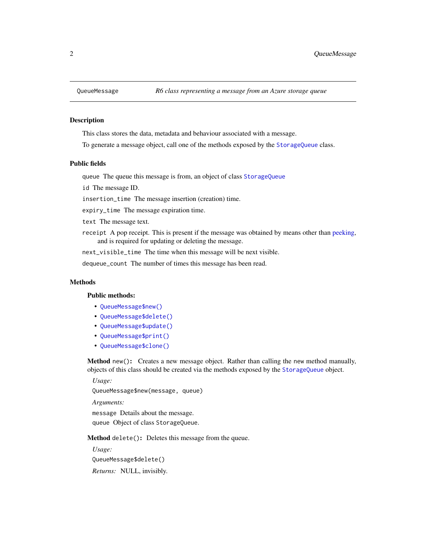<span id="page-1-4"></span><span id="page-1-0"></span>

#### **Description**

This class stores the data, metadata and behaviour associated with a message.

To generate a message object, call one of the methods exposed by the [StorageQueue](#page-4-1) class.

#### Public fields

queue The queue this message is from, an object of class [StorageQueue](#page-4-1)

id The message ID.

insertion\_time The message insertion (creation) time.

expiry\_time The message expiration time.

text The message text.

receipt A pop receipt. This is present if the message was obtained by means other than [peeking,](#page-4-1) and is required for updating or deleting the message.

next\_visible\_time The time when this message will be next visible.

dequeue\_count The number of times this message has been read.

#### Methods

#### Public methods:

- [QueueMessage\\$new\(\)](#page-1-1)
- [QueueMessage\\$delete\(\)](#page-1-2)
- [QueueMessage\\$update\(\)](#page-1-3)
- [QueueMessage\\$print\(\)](#page-2-0)
- [QueueMessage\\$clone\(\)](#page-2-1)

<span id="page-1-1"></span>Method new(): Creates a new message object. Rather than calling the new method manually, objects of this class should be created via the methods exposed by the [StorageQueue](#page-4-1) object.

*Usage:*

QueueMessage\$new(message, queue)

*Arguments:*

message Details about the message. queue Object of class StorageQueue.

<span id="page-1-2"></span>Method delete(): Deletes this message from the queue.

<span id="page-1-3"></span>*Usage:* QueueMessage\$delete() *Returns:* NULL, invisibly.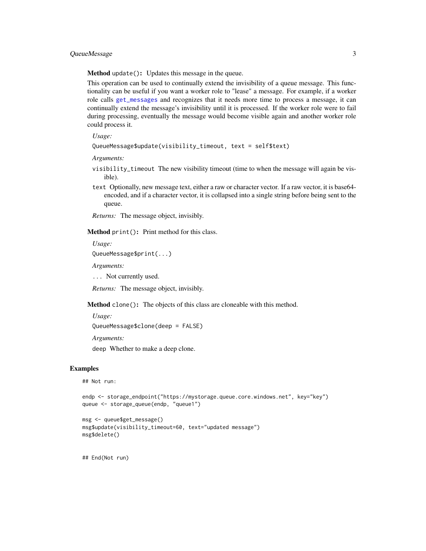<span id="page-2-2"></span>Method update(): Updates this message in the queue.

This operation can be used to continually extend the invisibility of a queue message. This functionality can be useful if you want a worker role to "lease" a message. For example, if a worker role calls [get\\_messages](#page-4-1) and recognizes that it needs more time to process a message, it can continually extend the message's invisibility until it is processed. If the worker role were to fail during processing, eventually the message would become visible again and another worker role could process it.

#### *Usage:*

```
QueueMessage$update(visibility_timeout, text = self$text)
```
*Arguments:*

- visibility\_timeout The new visibility timeout (time to when the message will again be visible).
- text Optionally, new message text, either a raw or character vector. If a raw vector, it is base64 encoded, and if a character vector, it is collapsed into a single string before being sent to the queue.

*Returns:* The message object, invisibly.

<span id="page-2-0"></span>Method print(): Print method for this class.

*Usage:*

QueueMessage\$print(...)

*Arguments:*

... Not currently used.

*Returns:* The message object, invisibly.

<span id="page-2-1"></span>Method clone(): The objects of this class are cloneable with this method.

*Usage:*

```
QueueMessage$clone(deep = FALSE)
```
*Arguments:*

deep Whether to make a deep clone.

#### Examples

## Not run:

```
endp <- storage_endpoint("https://mystorage.queue.core.windows.net", key="key")
queue <- storage_queue(endp, "queue1")
```

```
msg <- queue$get_message()
msg$update(visibility_timeout=60, text="updated message")
msg$delete()
```
## End(Not run)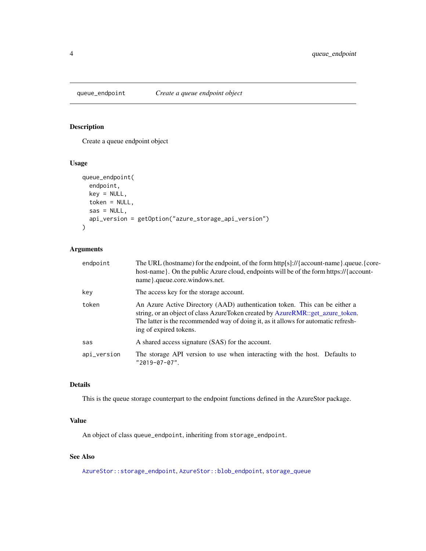<span id="page-3-1"></span><span id="page-3-0"></span>

#### Description

Create a queue endpoint object

#### Usage

```
queue_endpoint(
 endpoint,
 key = NULL,
 token = NULL,
 sas = NULL,api_version = getOption("azure_storage_api_version")
)
```
#### Arguments

| endpoint    | The URL (hostname) for the endpoint, of the form http[s]://{account-name}.queue.{core-<br>host-name}. On the public Azure cloud, endpoints will be of the form https://{account-<br>name}.queue.core.windows.net.                                                            |
|-------------|------------------------------------------------------------------------------------------------------------------------------------------------------------------------------------------------------------------------------------------------------------------------------|
| key         | The access key for the storage account.                                                                                                                                                                                                                                      |
| token       | An Azure Active Directory (AAD) authentication token. This can be either a<br>string, or an object of class AzureToken created by AzureRMR::get_azure_token.<br>The latter is the recommended way of doing it, as it allows for automatic refresh-<br>ing of expired tokens. |
| sas         | A shared access signature (SAS) for the account.                                                                                                                                                                                                                             |
| api_version | The storage API version to use when interacting with the host. Defaults to<br>$"2019-07-07"$ .                                                                                                                                                                               |

#### Details

This is the queue storage counterpart to the endpoint functions defined in the AzureStor package.

#### Value

An object of class queue\_endpoint, inheriting from storage\_endpoint.

#### See Also

[AzureStor::storage\\_endpoint](#page-0-0), [AzureStor::blob\\_endpoint](#page-0-0), [storage\\_queue](#page-9-1)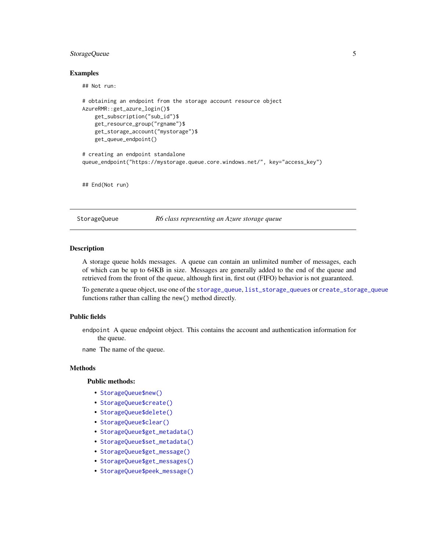#### <span id="page-4-0"></span>StorageQueue 5

#### Examples

## Not run:

```
# obtaining an endpoint from the storage account resource object
AzureRMR::get_azure_login()$
   get_subscription("sub_id")$
   get_resource_group("rgname")$
   get_storage_account("mystorage")$
   get_queue_endpoint()
# creating an endpoint standalone
queue_endpoint("https://mystorage.queue.core.windows.net/", key="access_key")
```
## End(Not run)

<span id="page-4-1"></span>StorageQueue *R6 class representing an Azure storage queue*

#### Description

A storage queue holds messages. A queue can contain an unlimited number of messages, each of which can be up to 64KB in size. Messages are generally added to the end of the queue and retrieved from the front of the queue, although first in, first out (FIFO) behavior is not guaranteed.

To generate a queue object, use one of the [storage\\_queue](#page-9-1), [list\\_storage\\_queues](#page-9-2) or [create\\_storage\\_queue](#page-9-2) functions rather than calling the new() method directly.

#### Public fields

endpoint A queue endpoint object. This contains the account and authentication information for the queue.

name The name of the queue.

#### Methods

#### Public methods:

- [StorageQueue\\$new\(\)](#page-1-1)
- [StorageQueue\\$create\(\)](#page-5-0)
- [StorageQueue\\$delete\(\)](#page-1-2)
- [StorageQueue\\$clear\(\)](#page-5-1)
- [StorageQueue\\$get\\_metadata\(\)](#page-5-2)
- [StorageQueue\\$set\\_metadata\(\)](#page-5-3)
- [StorageQueue\\$get\\_message\(\)](#page-6-0)
- [StorageQueue\\$get\\_messages\(\)](#page-6-1)
- [StorageQueue\\$peek\\_message\(\)](#page-6-2)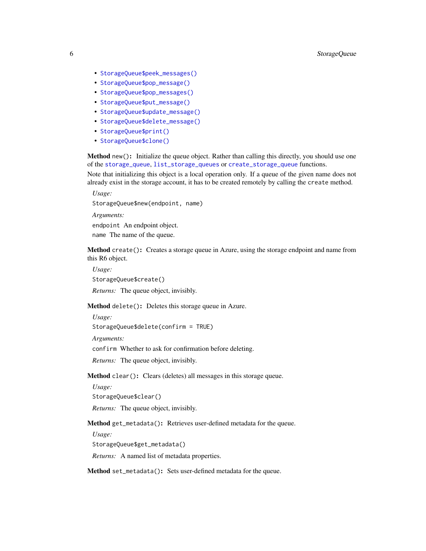- <span id="page-5-4"></span>• [StorageQueue\\$peek\\_messages\(\)](#page-6-3)
- [StorageQueue\\$pop\\_message\(\)](#page-7-0)
- [StorageQueue\\$pop\\_messages\(\)](#page-7-1)
- [StorageQueue\\$put\\_message\(\)](#page-7-2)
- [StorageQueue\\$update\\_message\(\)](#page-7-3)
- [StorageQueue\\$delete\\_message\(\)](#page-8-0)
- [StorageQueue\\$print\(\)](#page-2-0)
- [StorageQueue\\$clone\(\)](#page-2-1)

Method new(): Initialize the queue object. Rather than calling this directly, you should use one of the [storage\\_queue](#page-9-1), [list\\_storage\\_queues](#page-9-2) or [create\\_storage\\_queue](#page-9-2) functions.

Note that initializing this object is a local operation only. If a queue of the given name does not already exist in the storage account, it has to be created remotely by calling the create method.

*Usage:* StorageQueue\$new(endpoint, name) *Arguments:*

endpoint An endpoint object.

name The name of the queue.

<span id="page-5-0"></span>Method create(): Creates a storage queue in Azure, using the storage endpoint and name from this R6 object.

*Usage:* StorageQueue\$create()

*Returns:* The queue object, invisibly.

Method delete(): Deletes this storage queue in Azure.

*Usage:*

StorageQueue\$delete(confirm = TRUE)

*Arguments:*

confirm Whether to ask for confirmation before deleting.

*Returns:* The queue object, invisibly.

<span id="page-5-1"></span>Method clear(): Clears (deletes) all messages in this storage queue.

*Usage:*

StorageQueue\$clear()

*Returns:* The queue object, invisibly.

<span id="page-5-2"></span>Method get\_metadata(): Retrieves user-defined metadata for the queue.

*Usage:*

StorageQueue\$get\_metadata()

*Returns:* A named list of metadata properties.

<span id="page-5-3"></span>Method set\_metadata(): Sets user-defined metadata for the queue.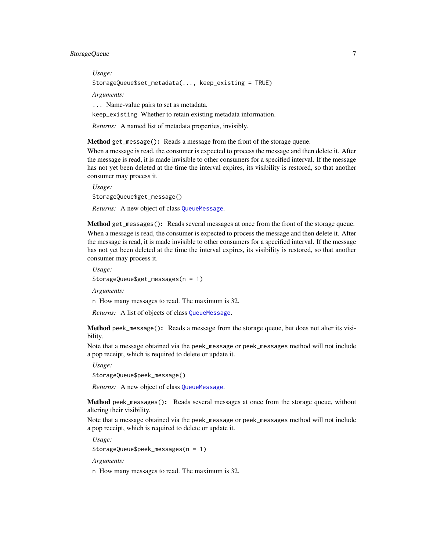<span id="page-6-4"></span>*Usage:*

StorageQueue\$set\_metadata(..., keep\_existing = TRUE)

*Arguments:*

... Name-value pairs to set as metadata.

keep\_existing Whether to retain existing metadata information.

*Returns:* A named list of metadata properties, invisibly.

<span id="page-6-0"></span>Method get\_message(): Reads a message from the front of the storage queue.

When a message is read, the consumer is expected to process the message and then delete it. After the message is read, it is made invisible to other consumers for a specified interval. If the message has not yet been deleted at the time the interval expires, its visibility is restored, so that another consumer may process it.

*Usage:* StorageQueue\$get\_message()

*Returns:* A new object of class [QueueMessage](#page-1-4).

<span id="page-6-1"></span>Method get\_messages(): Reads several messages at once from the front of the storage queue.

When a message is read, the consumer is expected to process the message and then delete it. After the message is read, it is made invisible to other consumers for a specified interval. If the message has not yet been deleted at the time the interval expires, its visibility is restored, so that another consumer may process it.

*Usage:* StorageQueue\$get\_messages(n = 1)

*Arguments:*

n How many messages to read. The maximum is 32.

*Returns:* A list of objects of class [QueueMessage](#page-1-4).

<span id="page-6-2"></span>Method peek\_message(): Reads a message from the storage queue, but does not alter its visibility.

Note that a message obtained via the peek\_message or peek\_messages method will not include a pop receipt, which is required to delete or update it.

*Usage:* StorageQueue\$peek\_message()

*Returns:* A new object of class [QueueMessage](#page-1-4).

<span id="page-6-3"></span>Method peek\_messages(): Reads several messages at once from the storage queue, without altering their visibility.

Note that a message obtained via the peek\_message or peek\_messages method will not include a pop receipt, which is required to delete or update it.

*Usage:*

StorageQueue\$peek\_messages(n = 1)

*Arguments:*

n How many messages to read. The maximum is 32.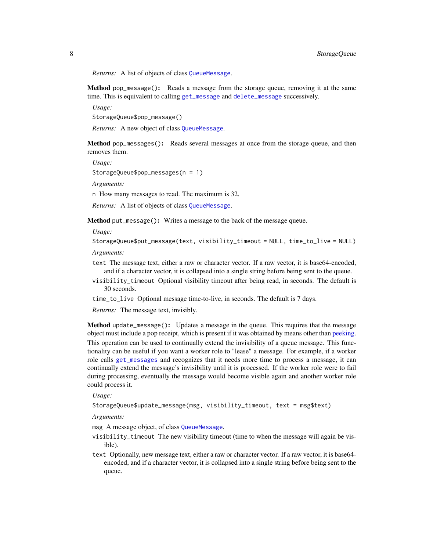*Returns:* A list of objects of class [QueueMessage](#page-1-4).

<span id="page-7-0"></span>Method pop\_message(): Reads a message from the storage queue, removing it at the same time. This is equivalent to calling [get\\_message](#page-6-0) and [delete\\_message](#page-8-0) successively.

*Usage:*

StorageQueue\$pop\_message()

*Returns:* A new object of class [QueueMessage](#page-1-4).

<span id="page-7-1"></span>Method pop\_messages(): Reads several messages at once from the storage queue, and then removes them.

*Usage:*

StorageQueue\$pop\_messages(n = 1)

*Arguments:*

n How many messages to read. The maximum is 32.

*Returns:* A list of objects of class [QueueMessage](#page-1-4).

<span id="page-7-2"></span>Method put\_message(): Writes a message to the back of the message queue.

*Usage:*

```
StorageQueue$put_message(text, visibility_timeout = NULL, time_to_live = NULL)
```
*Arguments:*

- text The message text, either a raw or character vector. If a raw vector, it is base64-encoded, and if a character vector, it is collapsed into a single string before being sent to the queue.
- visibility\_timeout Optional visibility timeout after being read, in seconds. The default is 30 seconds.
- time\_to\_live Optional message time-to-live, in seconds. The default is 7 days.

*Returns:* The message text, invisibly.

<span id="page-7-3"></span>Method update\_message(): Updates a message in the queue. This requires that the message object must include a pop receipt, which is present if it was obtained by means other than [peeking.](#page-6-2) This operation can be used to continually extend the invisibility of a queue message. This functionality can be useful if you want a worker role to "lease" a message. For example, if a worker role calls [get\\_messages](#page-6-1) and recognizes that it needs more time to process a message, it can continually extend the message's invisibility until it is processed. If the worker role were to fail during processing, eventually the message would become visible again and another worker role could process it.

*Usage:*

StorageQueue\$update\_message(msg, visibility\_timeout, text = msg\$text)

*Arguments:*

- msg A message object, of class [QueueMessage](#page-1-4).
- visibility\_timeout The new visibility timeout (time to when the message will again be visible).
- text Optionally, new message text, either a raw or character vector. If a raw vector, it is base64 encoded, and if a character vector, it is collapsed into a single string before being sent to the queue.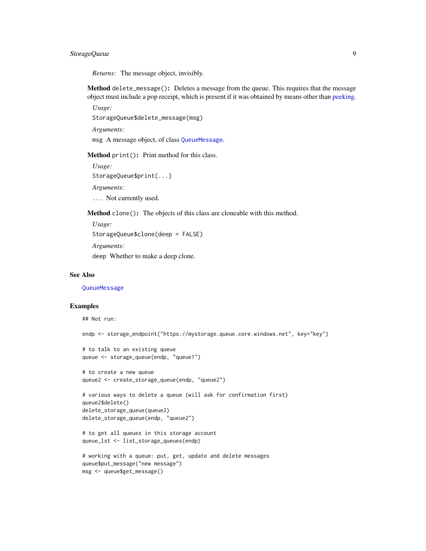#### <span id="page-8-1"></span>StorageQueue 9

*Returns:* The message object, invisibly.

<span id="page-8-0"></span>Method delete\_message(): Deletes a message from the queue. This requires that the message object must include a pop receipt, which is present if it was obtained by means other than [peeking.](#page-6-2)

*Usage:*

StorageQueue\$delete\_message(msg)

*Arguments:*

msg A message object, of class [QueueMessage](#page-1-4).

Method print(): Print method for this class.

*Usage:* StorageQueue\$print(...)

*Arguments:*

... Not currently used.

Method clone(): The objects of this class are cloneable with this method.

*Usage:*

StorageQueue\$clone(deep = FALSE)

*Arguments:*

deep Whether to make a deep clone.

#### See Also

**[QueueMessage](#page-1-4)** 

#### Examples

```
## Not run:
endp <- storage_endpoint("https://mystorage.queue.core.windows.net", key="key")
# to talk to an existing queue
queue <- storage_queue(endp, "queue1")
# to create a new queue
queue2 <- create_storage_queue(endp, "queue2")
# various ways to delete a queue (will ask for confirmation first)
queue2$delete()
delete_storage_queue(queue2)
delete_storage_queue(endp, "queue2")
# to get all queues in this storage account
queue_lst <- list_storage_queues(endp)
# working with a queue: put, get, update and delete messages
queue$put_message("new message")
msg <- queue$get_message()
```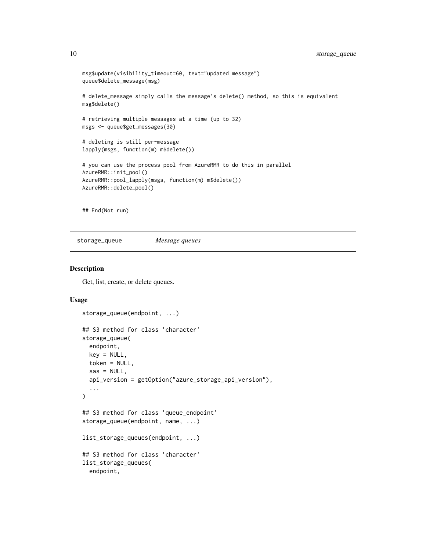```
msg$update(visibility_timeout=60, text="updated message")
queue$delete_message(msg)
# delete_message simply calls the message's delete() method, so this is equivalent
msg$delete()
# retrieving multiple messages at a time (up to 32)
msgs <- queue$get_messages(30)
# deleting is still per-message
lapply(msgs, function(m) m$delete())
# you can use the process pool from AzureRMR to do this in parallel
AzureRMR::init_pool()
AzureRMR::pool_lapply(msgs, function(m) m$delete())
AzureRMR::delete_pool()
```
## End(Not run)

<span id="page-9-1"></span>storage\_queue *Message queues*

#### <span id="page-9-2"></span>Description

Get, list, create, or delete queues.

#### Usage

```
storage_queue(endpoint, ...)
## S3 method for class 'character'
storage_queue(
 endpoint,
 key = NULL,token = NULL,
  sas = NULL,api_version = getOption("azure_storage_api_version"),
  ...
)
## S3 method for class 'queue_endpoint'
storage_queue(endpoint, name, ...)
list_storage_queues(endpoint, ...)
## S3 method for class 'character'
list_storage_queues(
 endpoint,
```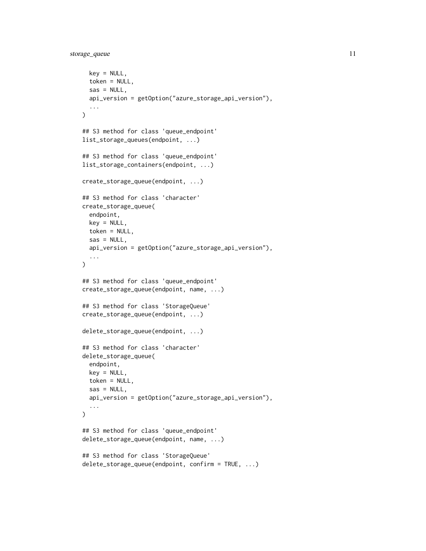```
key = NULL,
  token = NULL,
  sas = NULL,
  api_version = getOption("azure_storage_api_version"),
  ...
)
## S3 method for class 'queue_endpoint'
list_storage_queues(endpoint, ...)
## S3 method for class 'queue_endpoint'
list_storage_containers(endpoint, ...)
create_storage_queue(endpoint, ...)
## S3 method for class 'character'
create_storage_queue(
  endpoint,
 key = NULL,
  token = NULL,
  sas = NULL,api_version = getOption("azure_storage_api_version"),
  ...
\mathcal{L}## S3 method for class 'queue_endpoint'
create_storage_queue(endpoint, name, ...)
## S3 method for class 'StorageQueue'
create_storage_queue(endpoint, ...)
delete_storage_queue(endpoint, ...)
## S3 method for class 'character'
delete_storage_queue(
  endpoint,
 key = NULL,
 token = NULL,
  sas = NULL,api_version = getOption("azure_storage_api_version"),
  ...
\mathcal{L}## S3 method for class 'queue_endpoint'
delete_storage_queue(endpoint, name, ...)
## S3 method for class 'StorageQueue'
delete_storage_queue(endpoint, confirm = TRUE, ...)
```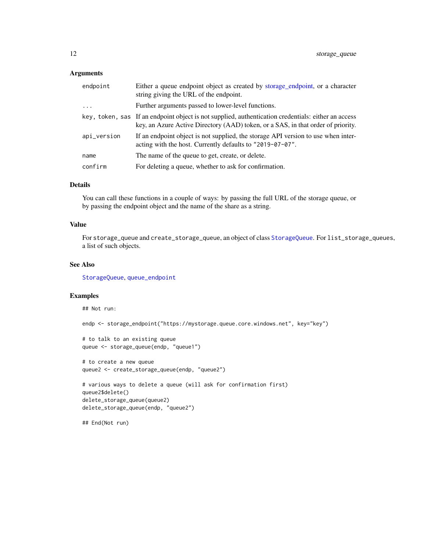#### <span id="page-11-0"></span>Arguments

| endpoint    | Either a queue endpoint object as created by storage_endpoint, or a character<br>string giving the URL of the endpoint.                                                                 |
|-------------|-----------------------------------------------------------------------------------------------------------------------------------------------------------------------------------------|
| $\ddots$ .  | Further arguments passed to lower-level functions.                                                                                                                                      |
|             | key, token, sas If an endpoint object is not supplied, authentication credentials: either an access<br>key, an Azure Active Directory (AAD) token, or a SAS, in that order of priority. |
| api_version | If an endpoint object is not supplied, the storage API version to use when inter-<br>acting with the host. Currently defaults to "2019-07-07".                                          |
| name        | The name of the queue to get, create, or delete.                                                                                                                                        |
| confirm     | For deleting a queue, whether to ask for confirmation.                                                                                                                                  |

#### Details

You can call these functions in a couple of ways: by passing the full URL of the storage queue, or by passing the endpoint object and the name of the share as a string.

#### Value

For storage\_queue and create\_storage\_queue, an object of class [StorageQueue](#page-4-1). For list\_storage\_queues, a list of such objects.

#### See Also

[StorageQueue](#page-4-1), [queue\\_endpoint](#page-3-1)

#### Examples

```
## Not run:
endp <- storage_endpoint("https://mystorage.queue.core.windows.net", key="key")
# to talk to an existing queue
queue <- storage_queue(endp, "queue1")
# to create a new queue
queue2 <- create_storage_queue(endp, "queue2")
# various ways to delete a queue (will ask for confirmation first)
queue2$delete()
delete_storage_queue(queue2)
delete_storage_queue(endp, "queue2")
## End(Not run)
```